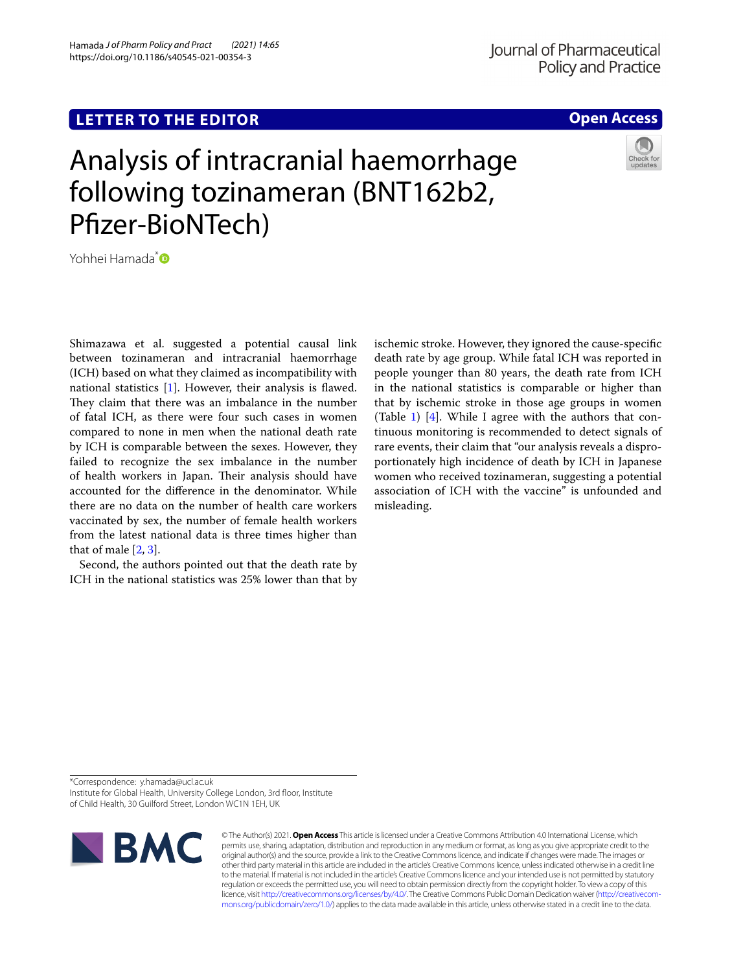## **LETTER TO THE EDITOR**

Hamada *J of Pharm Policy and Pract (2021) 14:65*  https://doi.org/10.1186/s40545-021-00354-3

### **Open Access**

# Analysis of intracranial haemorrhage following tozinameran (BNT162b2, Pfzer-BioNTech)

Yohhei Hamada<sup>[\\*](http://orcid.org/0000-0002-9845-4267)</sup>

Shimazawa et al. suggested a potential causal link between tozinameran and intracranial haemorrhage (ICH) based on what they claimed as incompatibility with national statistics [\[1](#page-1-0)]. However, their analysis is fawed. They claim that there was an imbalance in the number of fatal ICH, as there were four such cases in women compared to none in men when the national death rate by ICH is comparable between the sexes. However, they failed to recognize the sex imbalance in the number of health workers in Japan. Their analysis should have accounted for the diference in the denominator. While there are no data on the number of health care workers vaccinated by sex, the number of female health workers from the latest national data is three times higher than that of male [[2,](#page-1-1) [3](#page-1-2)].

Second, the authors pointed out that the death rate by ICH in the national statistics was 25% lower than that by ischemic stroke. However, they ignored the cause-specifc death rate by age group. While fatal ICH was reported in people younger than 80 years, the death rate from ICH in the national statistics is comparable or higher than that by ischemic stroke in those age groups in women (Table [1](#page-1-3)) [\[4](#page-1-4)]. While I agree with the authors that continuous monitoring is recommended to detect signals of rare events, their claim that "our analysis reveals a disproportionately high incidence of death by ICH in Japanese women who received tozinameran, suggesting a potential association of ICH with the vaccine" is unfounded and misleading.

\*Correspondence: y.hamada@ucl.ac.uk

Institute for Global Health, University College London, 3rd floor, Institute of Child Health, 30 Guilford Street, London WC1N 1EH, UK



© The Author(s) 2021. **Open Access** This article is licensed under a Creative Commons Attribution 4.0 International License, which permits use, sharing, adaptation, distribution and reproduction in any medium or format, as long as you give appropriate credit to the original author(s) and the source, provide a link to the Creative Commons licence, and indicate if changes were made. The images or other third party material in this article are included in the article's Creative Commons licence, unless indicated otherwise in a credit line to the material. If material is not included in the article's Creative Commons licence and your intended use is not permitted by statutory regulation or exceeds the permitted use, you will need to obtain permission directly from the copyright holder. To view a copy of this licence, visit [http://creativecommons.org/licenses/by/4.0/.](http://creativecommons.org/licenses/by/4.0/) The Creative Commons Public Domain Dedication waiver ([http://creativecom](http://creativecommons.org/publicdomain/zero/1.0/)[mons.org/publicdomain/zero/1.0/\)](http://creativecommons.org/publicdomain/zero/1.0/) applies to the data made available in this article, unless otherwise stated in a credit line to the data.